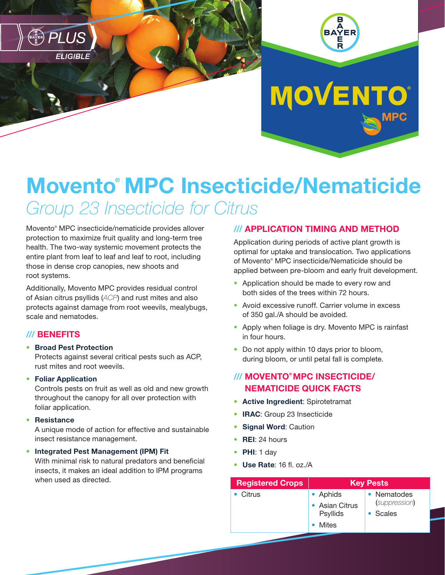



**MOVENTO®** 

# Movento® MPC Insecticide/Nematicide *Group 23 Insecticide for Citrus*

Movento® MPC insecticide/nematicide provides allover protection to maximize fruit quality and long-term tree health. The two-way systemic movement protects the entire plant from leaf to leaf and leaf to root, including those in dense crop canopies, new shoots and root systems.

Additionally, Movento MPC provides residual control of Asian citrus psyllids (*ACP*) and rust mites and also protects against damage from root weevils, mealybugs, scale and nematodes.

## /// BENEFITS

### • Broad Pest Protection

Protects against several critical pests such as ACP, rust mites and root weevils.

#### • Foliar Application

Controls pests on fruit as well as old and new growth throughout the canopy for all over protection with foliar application.

#### • Resistance

A unique mode of action for effective and sustainable insect resistance management.

#### • Integrated Pest Management (IPM) Fit

With minimal risk to natural predators and beneficial insects, it makes an ideal addition to IPM programs when used as directed.

## /// APPLICATION TIMING AND METHOD

Application during periods of active plant growth is optimal for uptake and translocation. Two applications of Movento® MPC insecticide/Nematicide should be applied between pre-bloom and early fruit development.

- Application should be made to every row and both sides of the trees within 72 hours.
- Avoid excessive runoff. Carrier volume in excess of 350 gal./A should be avoided.
- Apply when foliage is dry. Movento MPC is rainfast in four hours.
- Do not apply within 10 days prior to bloom, during bloom, or until petal fall is complete.

# /// MOVENTO® MPC INSECTICIDE/ NEMATICIDE QUICK FACTS

- Active Ingredient: Spirotetramat
- **IRAC:** Group 23 Insecticide
- Signal Word: Caution
- **REI: 24 hours**
- PHI: 1 day
- Use Rate: 16 fl. oz./A

| <b>Registered Crops</b> | <b>Key Pests</b>                              |                                          |
|-------------------------|-----------------------------------------------|------------------------------------------|
| Citrus                  | • Aphids<br>• Asian Citrus<br><b>Psyllids</b> | • Nematodes<br>(suppression)<br>• Scales |
|                         | Mites                                         |                                          |